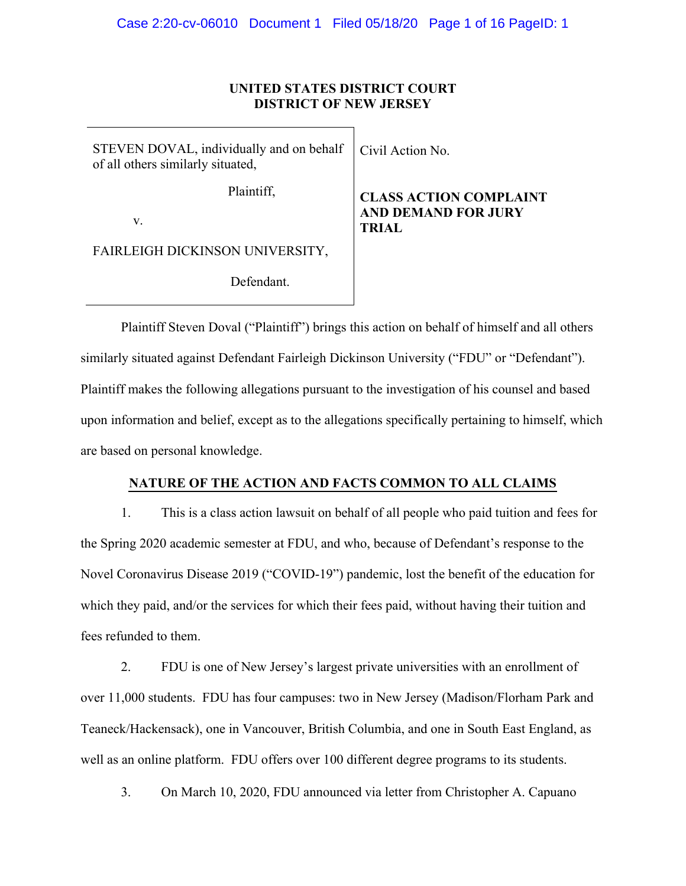#### **UNITED STATES DISTRICT COURT DISTRICT OF NEW JERSEY**

| STEVEN DOVAL, individually and on behalf<br>of all others similarly situated, | Civil Action No.                                                            |
|-------------------------------------------------------------------------------|-----------------------------------------------------------------------------|
| Plaintiff,<br>V.                                                              | <b>CLASS ACTION COMPLAINT</b><br><b>AND DEMAND FOR JURY</b><br><b>TRIAL</b> |
| FAIRLEIGH DICKINSON UNIVERSITY,                                               |                                                                             |
| Defendant.                                                                    |                                                                             |

Plaintiff Steven Doval ("Plaintiff") brings this action on behalf of himself and all others similarly situated against Defendant Fairleigh Dickinson University ("FDU" or "Defendant"). Plaintiff makes the following allegations pursuant to the investigation of his counsel and based upon information and belief, except as to the allegations specifically pertaining to himself, which are based on personal knowledge.

#### **NATURE OF THE ACTION AND FACTS COMMON TO ALL CLAIMS**

1. This is a class action lawsuit on behalf of all people who paid tuition and fees for the Spring 2020 academic semester at FDU, and who, because of Defendant's response to the Novel Coronavirus Disease 2019 ("COVID-19") pandemic, lost the benefit of the education for which they paid, and/or the services for which their fees paid, without having their tuition and fees refunded to them.

2. FDU is one of New Jersey's largest private universities with an enrollment of over 11,000 students. FDU has four campuses: two in New Jersey (Madison/Florham Park and Teaneck/Hackensack), one in Vancouver, British Columbia, and one in South East England, as well as an online platform. FDU offers over 100 different degree programs to its students.

3. On March 10, 2020, FDU announced via letter from Christopher A. Capuano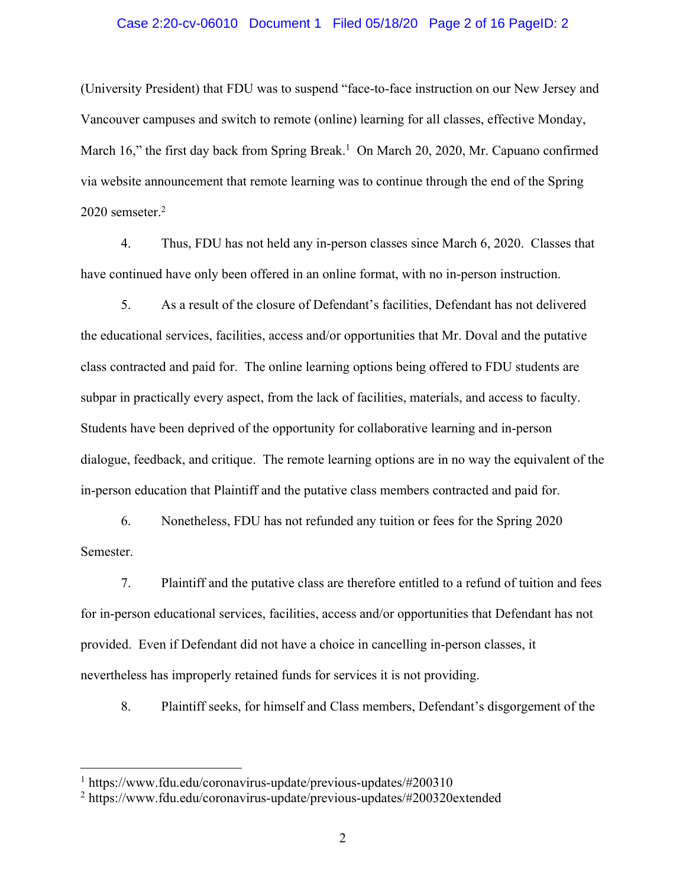#### Case 2:20-cv-06010 Document 1 Filed 05/18/20 Page 2 of 16 PageID: 2

(University President) that FDU was to suspend "face-to-face instruction on our New Jersey and Vancouver campuses and switch to remote (online) learning for all classes, effective Monday, March 16," the first day back from Spring Break.<sup>1</sup> On March 20, 2020, Mr. Capuano confirmed via website announcement that remote learning was to continue through the end of the Spring 2020 semseter.2

4. Thus, FDU has not held any in-person classes since March 6, 2020. Classes that have continued have only been offered in an online format, with no in-person instruction.

5. As a result of the closure of Defendant's facilities, Defendant has not delivered the educational services, facilities, access and/or opportunities that Mr. Doval and the putative class contracted and paid for. The online learning options being offered to FDU students are subpar in practically every aspect, from the lack of facilities, materials, and access to faculty. Students have been deprived of the opportunity for collaborative learning and in-person dialogue, feedback, and critique. The remote learning options are in no way the equivalent of the in-person education that Plaintiff and the putative class members contracted and paid for.

6. Nonetheless, FDU has not refunded any tuition or fees for the Spring 2020 Semester.

7. Plaintiff and the putative class are therefore entitled to a refund of tuition and fees for in-person educational services, facilities, access and/or opportunities that Defendant has not provided. Even if Defendant did not have a choice in cancelling in-person classes, it nevertheless has improperly retained funds for services it is not providing.

8. Plaintiff seeks, for himself and Class members, Defendant's disgorgement of the

 $1$  https://www.fdu.edu/coronavirus-update/previous-updates/#200310

<sup>2</sup> https://www.fdu.edu/coronavirus-update/previous-updates/#200320extended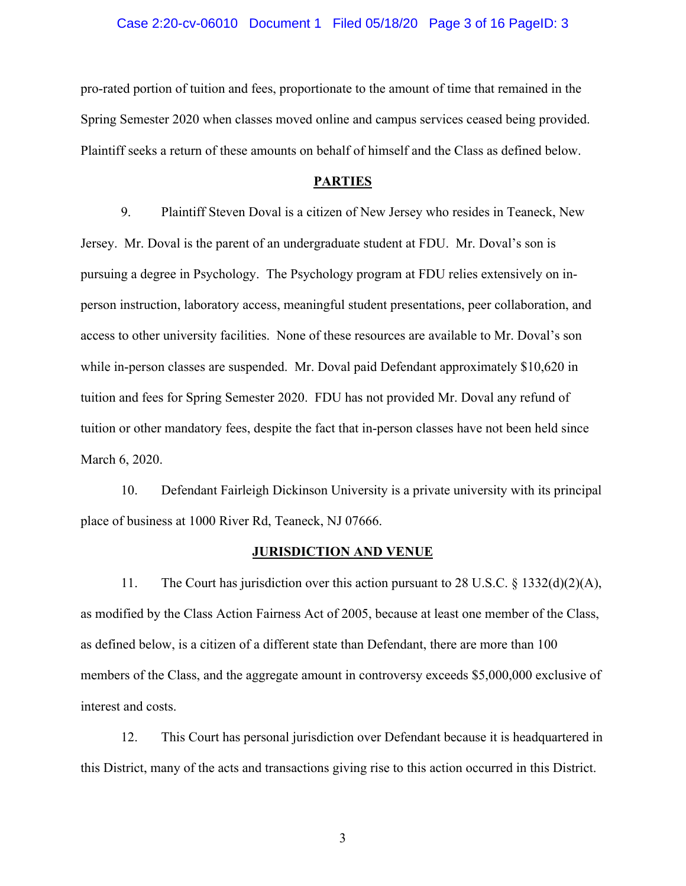#### Case 2:20-cv-06010 Document 1 Filed 05/18/20 Page 3 of 16 PageID: 3

pro-rated portion of tuition and fees, proportionate to the amount of time that remained in the Spring Semester 2020 when classes moved online and campus services ceased being provided. Plaintiff seeks a return of these amounts on behalf of himself and the Class as defined below.

#### **PARTIES**

9. Plaintiff Steven Doval is a citizen of New Jersey who resides in Teaneck, New Jersey. Mr. Doval is the parent of an undergraduate student at FDU. Mr. Doval's son is pursuing a degree in Psychology. The Psychology program at FDU relies extensively on inperson instruction, laboratory access, meaningful student presentations, peer collaboration, and access to other university facilities. None of these resources are available to Mr. Doval's son while in-person classes are suspended. Mr. Doval paid Defendant approximately \$10,620 in tuition and fees for Spring Semester 2020. FDU has not provided Mr. Doval any refund of tuition or other mandatory fees, despite the fact that in-person classes have not been held since March 6, 2020.

10. Defendant Fairleigh Dickinson University is a private university with its principal place of business at 1000 River Rd, Teaneck, NJ 07666.

#### **JURISDICTION AND VENUE**

11. The Court has jurisdiction over this action pursuant to 28 U.S.C. § 1332(d)(2)(A), as modified by the Class Action Fairness Act of 2005, because at least one member of the Class, as defined below, is a citizen of a different state than Defendant, there are more than 100 members of the Class, and the aggregate amount in controversy exceeds \$5,000,000 exclusive of interest and costs.

12. This Court has personal jurisdiction over Defendant because it is headquartered in this District, many of the acts and transactions giving rise to this action occurred in this District.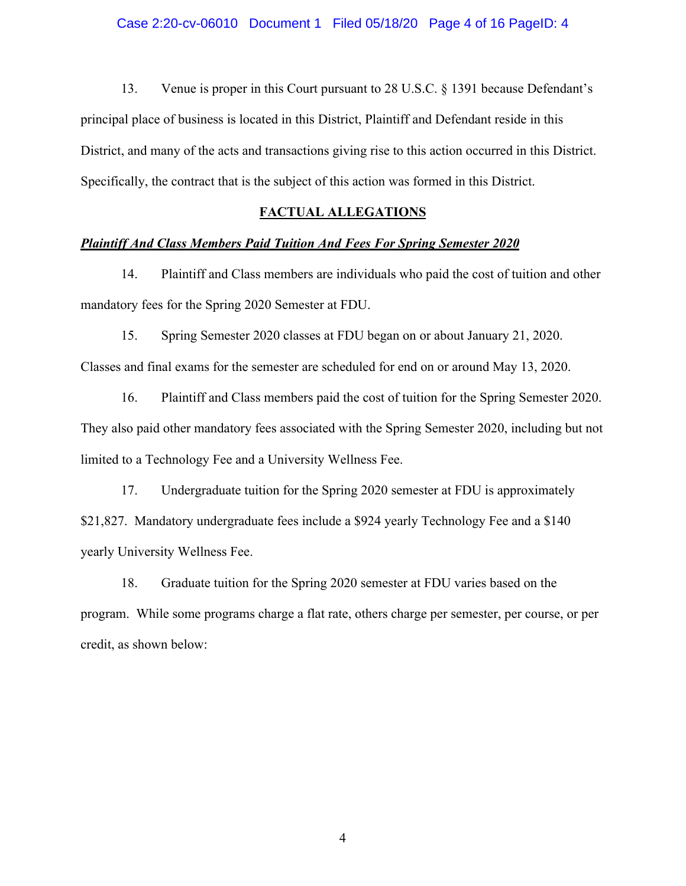#### Case 2:20-cv-06010 Document 1 Filed 05/18/20 Page 4 of 16 PageID: 4

13. Venue is proper in this Court pursuant to 28 U.S.C. § 1391 because Defendant's principal place of business is located in this District, Plaintiff and Defendant reside in this District, and many of the acts and transactions giving rise to this action occurred in this District. Specifically, the contract that is the subject of this action was formed in this District.

#### **FACTUAL ALLEGATIONS**

#### *Plaintiff And Class Members Paid Tuition And Fees For Spring Semester 2020*

14. Plaintiff and Class members are individuals who paid the cost of tuition and other mandatory fees for the Spring 2020 Semester at FDU.

15. Spring Semester 2020 classes at FDU began on or about January 21, 2020. Classes and final exams for the semester are scheduled for end on or around May 13, 2020.

16. Plaintiff and Class members paid the cost of tuition for the Spring Semester 2020. They also paid other mandatory fees associated with the Spring Semester 2020, including but not limited to a Technology Fee and a University Wellness Fee.

17. Undergraduate tuition for the Spring 2020 semester at FDU is approximately \$21,827. Mandatory undergraduate fees include a \$924 yearly Technology Fee and a \$140 yearly University Wellness Fee.

18. Graduate tuition for the Spring 2020 semester at FDU varies based on the program. While some programs charge a flat rate, others charge per semester, per course, or per credit, as shown below: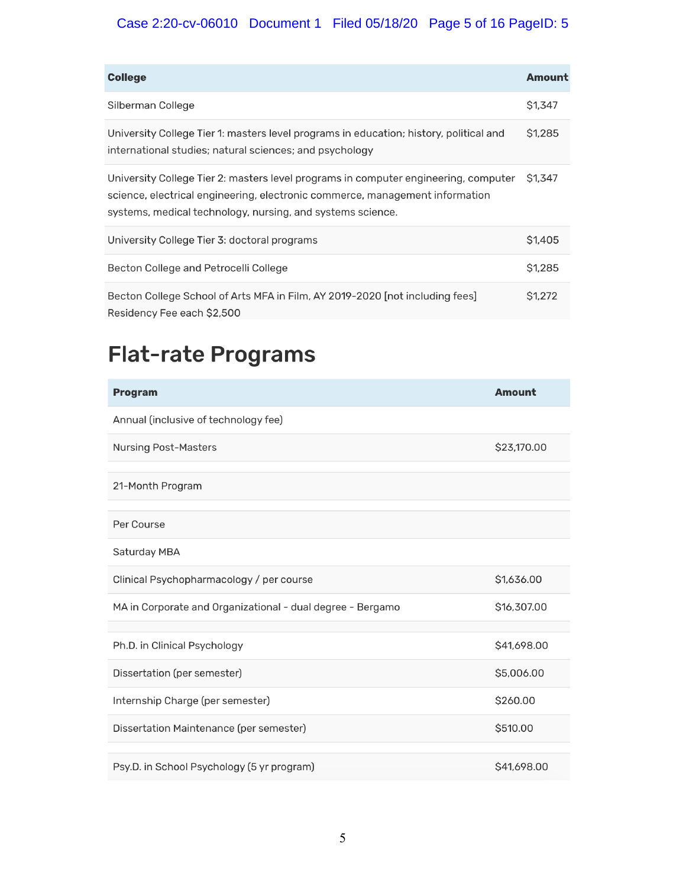## Case 2:20-cv-06010 Document 1 Filed 05/18/20 Page 5 of 16 PageID: 5

| <b>College</b>                                                                                                                                                                                                                    | <b>Amount</b>      |
|-----------------------------------------------------------------------------------------------------------------------------------------------------------------------------------------------------------------------------------|--------------------|
| Silberman College                                                                                                                                                                                                                 | <b>S1,347</b>      |
| University College Tier 1: masters level programs in education; history, political and<br>international studies; natural sciences; and psychology                                                                                 | \$1,285            |
| University College Tier 2: masters level programs in computer engineering, computer<br>science, electrical engineering, electronic commerce, management information<br>systems, medical technology, nursing, and systems science. | <b>S1.347</b>      |
| University College Tier 3: doctoral programs                                                                                                                                                                                      | S <sub>1</sub> 405 |
| Becton College and Petrocelli College                                                                                                                                                                                             | <b>S1.285</b>      |
| Becton College School of Arts MFA in Film, AY 2019-2020 [not including fees]<br>Residency Fee each \$2,500                                                                                                                        | S1.272             |

# **Flat-rate Programs**

| <b>Program</b>                                             | <b>Amount</b> |
|------------------------------------------------------------|---------------|
| Annual (inclusive of technology fee)                       |               |
| <b>Nursing Post-Masters</b>                                | \$23,170.00   |
| 21-Month Program                                           |               |
| Per Course                                                 |               |
| Saturday MBA                                               |               |
| Clinical Psychopharmacology / per course                   | \$1,636.00    |
| MA in Corporate and Organizational - dual degree - Bergamo | \$16,307.00   |
|                                                            |               |
| Ph.D. in Clinical Psychology                               | \$41,698.00   |
| Dissertation (per semester)                                | \$5,006.00    |
| Internship Charge (per semester)                           | \$260.00      |
| Dissertation Maintenance (per semester)                    | \$510,00      |
|                                                            |               |
| Psy.D. in School Psychology (5 yr program)                 | \$41,698.00   |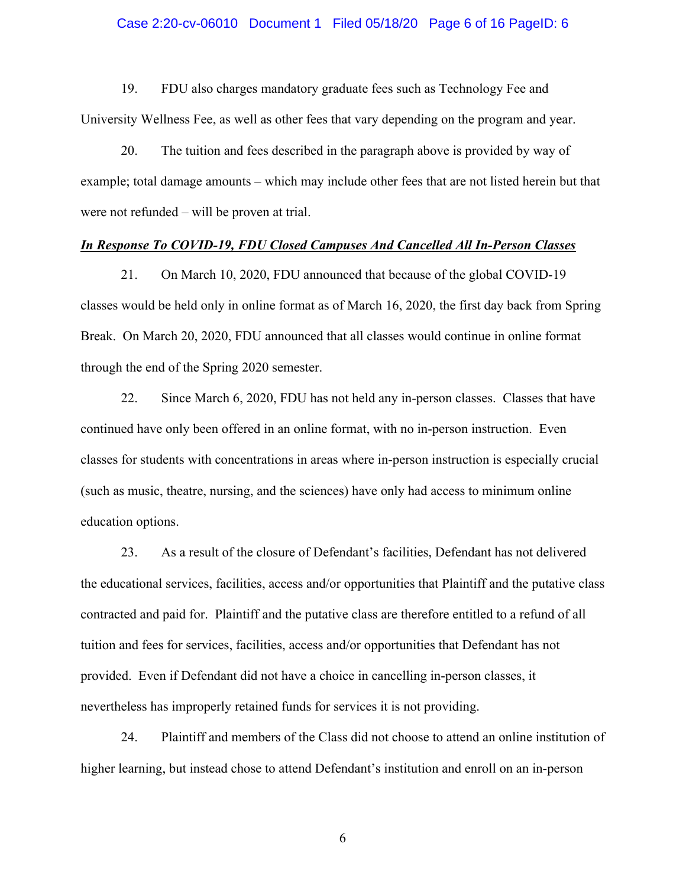#### Case 2:20-cv-06010 Document 1 Filed 05/18/20 Page 6 of 16 PageID: 6

19. FDU also charges mandatory graduate fees such as Technology Fee and University Wellness Fee, as well as other fees that vary depending on the program and year.

20. The tuition and fees described in the paragraph above is provided by way of example; total damage amounts – which may include other fees that are not listed herein but that were not refunded – will be proven at trial.

#### *In Response To COVID-19, FDU Closed Campuses And Cancelled All In-Person Classes*

21. On March 10, 2020, FDU announced that because of the global COVID-19 classes would be held only in online format as of March 16, 2020, the first day back from Spring Break. On March 20, 2020, FDU announced that all classes would continue in online format through the end of the Spring 2020 semester.

22. Since March 6, 2020, FDU has not held any in-person classes. Classes that have continued have only been offered in an online format, with no in-person instruction. Even classes for students with concentrations in areas where in-person instruction is especially crucial (such as music, theatre, nursing, and the sciences) have only had access to minimum online education options.

23. As a result of the closure of Defendant's facilities, Defendant has not delivered the educational services, facilities, access and/or opportunities that Plaintiff and the putative class contracted and paid for. Plaintiff and the putative class are therefore entitled to a refund of all tuition and fees for services, facilities, access and/or opportunities that Defendant has not provided. Even if Defendant did not have a choice in cancelling in-person classes, it nevertheless has improperly retained funds for services it is not providing.

24. Plaintiff and members of the Class did not choose to attend an online institution of higher learning, but instead chose to attend Defendant's institution and enroll on an in-person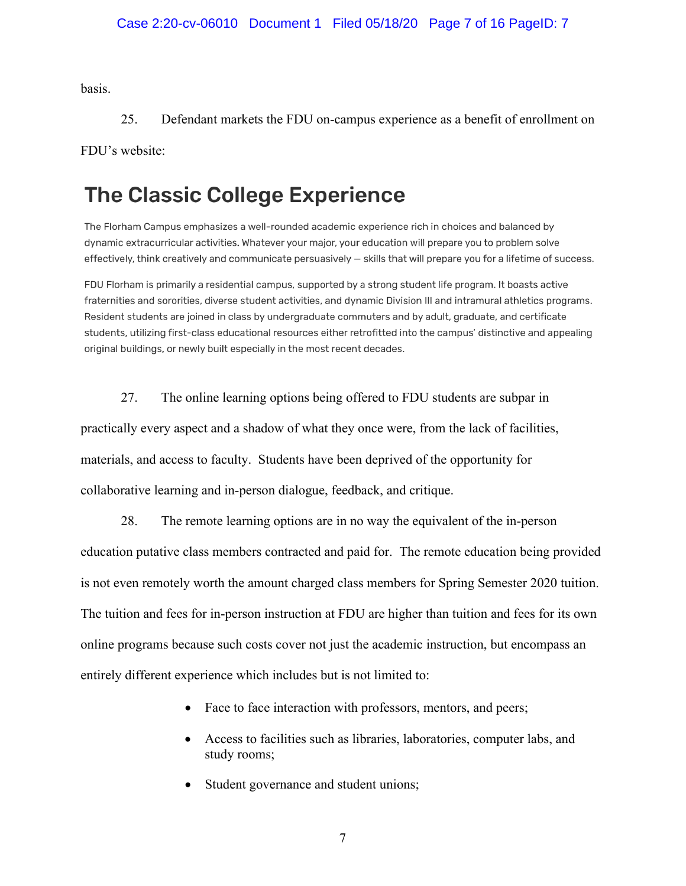basis.

25. Defendant markets the FDU on-campus experience as a benefit of enrollment on

FDU's website:

# **The Classic College Experience**

The Florham Campus emphasizes a well-rounded academic experience rich in choices and balanced by dynamic extracurricular activities. Whatever your major, your education will prepare you to problem solve effectively, think creatively and communicate persuasively - skills that will prepare you for a lifetime of success.

FDU Florham is primarily a residential campus, supported by a strong student life program. It boasts active fraternities and sororities, diverse student activities, and dynamic Division III and intramural athletics programs. Resident students are joined in class by undergraduate commuters and by adult, graduate, and certificate students, utilizing first-class educational resources either retrofitted into the campus' distinctive and appealing original buildings, or newly built especially in the most recent decades.

27. The online learning options being offered to FDU students are subpar in

practically every aspect and a shadow of what they once were, from the lack of facilities, materials, and access to faculty. Students have been deprived of the opportunity for collaborative learning and in-person dialogue, feedback, and critique.

28. The remote learning options are in no way the equivalent of the in-person education putative class members contracted and paid for. The remote education being provided is not even remotely worth the amount charged class members for Spring Semester 2020 tuition. The tuition and fees for in-person instruction at FDU are higher than tuition and fees for its own online programs because such costs cover not just the academic instruction, but encompass an entirely different experience which includes but is not limited to:

- Face to face interaction with professors, mentors, and peers;
- Access to facilities such as libraries, laboratories, computer labs, and study rooms;
- Student governance and student unions;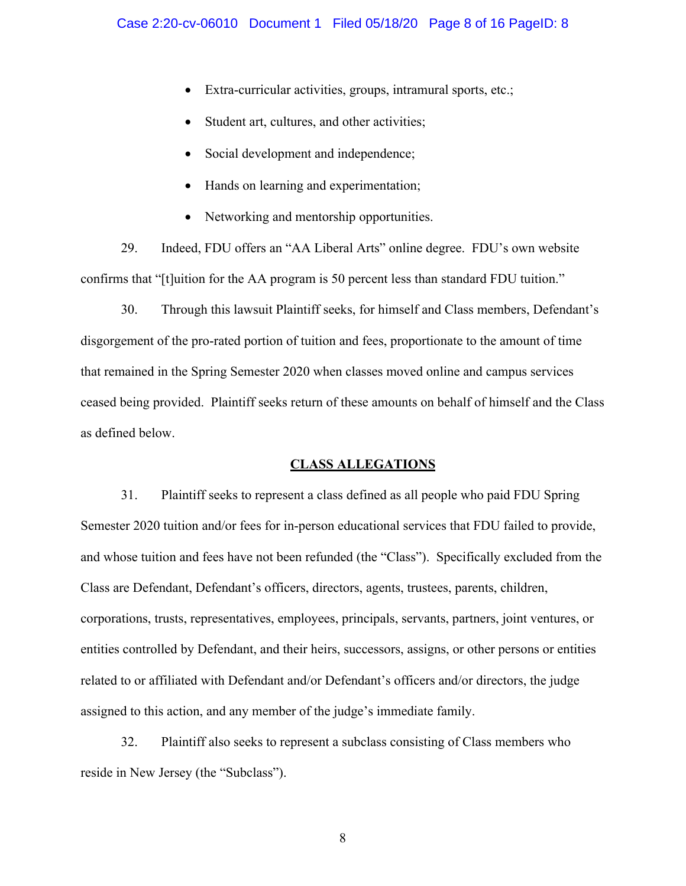- Extra-curricular activities, groups, intramural sports, etc.;
- Student art, cultures, and other activities;
- Social development and independence;
- Hands on learning and experimentation;
- Networking and mentorship opportunities.

29. Indeed, FDU offers an "AA Liberal Arts" online degree. FDU's own website confirms that "[t]uition for the AA program is 50 percent less than standard FDU tuition."

30. Through this lawsuit Plaintiff seeks, for himself and Class members, Defendant's disgorgement of the pro-rated portion of tuition and fees, proportionate to the amount of time that remained in the Spring Semester 2020 when classes moved online and campus services ceased being provided. Plaintiff seeks return of these amounts on behalf of himself and the Class as defined below.

#### **CLASS ALLEGATIONS**

31. Plaintiff seeks to represent a class defined as all people who paid FDU Spring Semester 2020 tuition and/or fees for in-person educational services that FDU failed to provide, and whose tuition and fees have not been refunded (the "Class"). Specifically excluded from the Class are Defendant, Defendant's officers, directors, agents, trustees, parents, children, corporations, trusts, representatives, employees, principals, servants, partners, joint ventures, or entities controlled by Defendant, and their heirs, successors, assigns, or other persons or entities related to or affiliated with Defendant and/or Defendant's officers and/or directors, the judge assigned to this action, and any member of the judge's immediate family.

32. Plaintiff also seeks to represent a subclass consisting of Class members who reside in New Jersey (the "Subclass").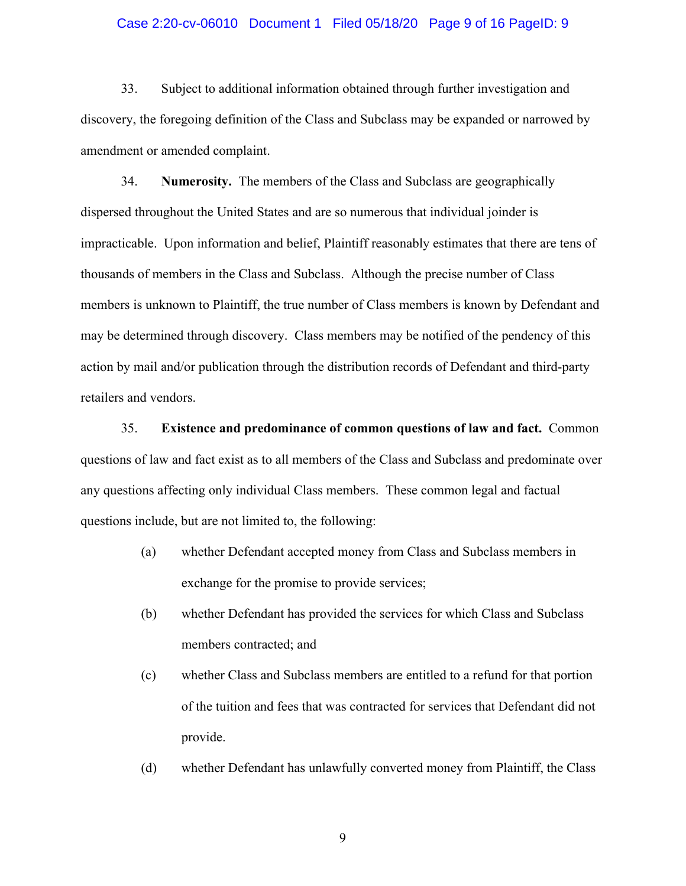#### Case 2:20-cv-06010 Document 1 Filed 05/18/20 Page 9 of 16 PageID: 9

33. Subject to additional information obtained through further investigation and discovery, the foregoing definition of the Class and Subclass may be expanded or narrowed by amendment or amended complaint.

34. **Numerosity.** The members of the Class and Subclass are geographically dispersed throughout the United States and are so numerous that individual joinder is impracticable. Upon information and belief, Plaintiff reasonably estimates that there are tens of thousands of members in the Class and Subclass. Although the precise number of Class members is unknown to Plaintiff, the true number of Class members is known by Defendant and may be determined through discovery. Class members may be notified of the pendency of this action by mail and/or publication through the distribution records of Defendant and third-party retailers and vendors.

35. **Existence and predominance of common questions of law and fact.** Common questions of law and fact exist as to all members of the Class and Subclass and predominate over any questions affecting only individual Class members. These common legal and factual questions include, but are not limited to, the following:

- (a) whether Defendant accepted money from Class and Subclass members in exchange for the promise to provide services;
- (b) whether Defendant has provided the services for which Class and Subclass members contracted; and
- (c) whether Class and Subclass members are entitled to a refund for that portion of the tuition and fees that was contracted for services that Defendant did not provide.
- (d) whether Defendant has unlawfully converted money from Plaintiff, the Class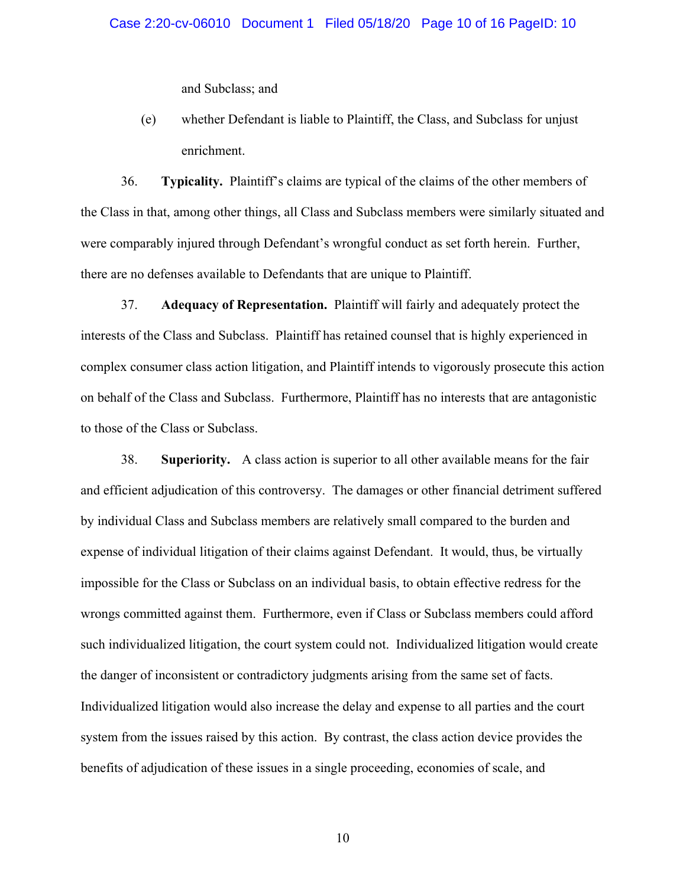and Subclass; and

(e) whether Defendant is liable to Plaintiff, the Class, and Subclass for unjust enrichment.

36. **Typicality.** Plaintiff's claims are typical of the claims of the other members of the Class in that, among other things, all Class and Subclass members were similarly situated and were comparably injured through Defendant's wrongful conduct as set forth herein. Further, there are no defenses available to Defendants that are unique to Plaintiff.

37. **Adequacy of Representation.** Plaintiff will fairly and adequately protect the interests of the Class and Subclass. Plaintiff has retained counsel that is highly experienced in complex consumer class action litigation, and Plaintiff intends to vigorously prosecute this action on behalf of the Class and Subclass. Furthermore, Plaintiff has no interests that are antagonistic to those of the Class or Subclass.

38. **Superiority.** A class action is superior to all other available means for the fair and efficient adjudication of this controversy. The damages or other financial detriment suffered by individual Class and Subclass members are relatively small compared to the burden and expense of individual litigation of their claims against Defendant. It would, thus, be virtually impossible for the Class or Subclass on an individual basis, to obtain effective redress for the wrongs committed against them. Furthermore, even if Class or Subclass members could afford such individualized litigation, the court system could not. Individualized litigation would create the danger of inconsistent or contradictory judgments arising from the same set of facts. Individualized litigation would also increase the delay and expense to all parties and the court system from the issues raised by this action. By contrast, the class action device provides the benefits of adjudication of these issues in a single proceeding, economies of scale, and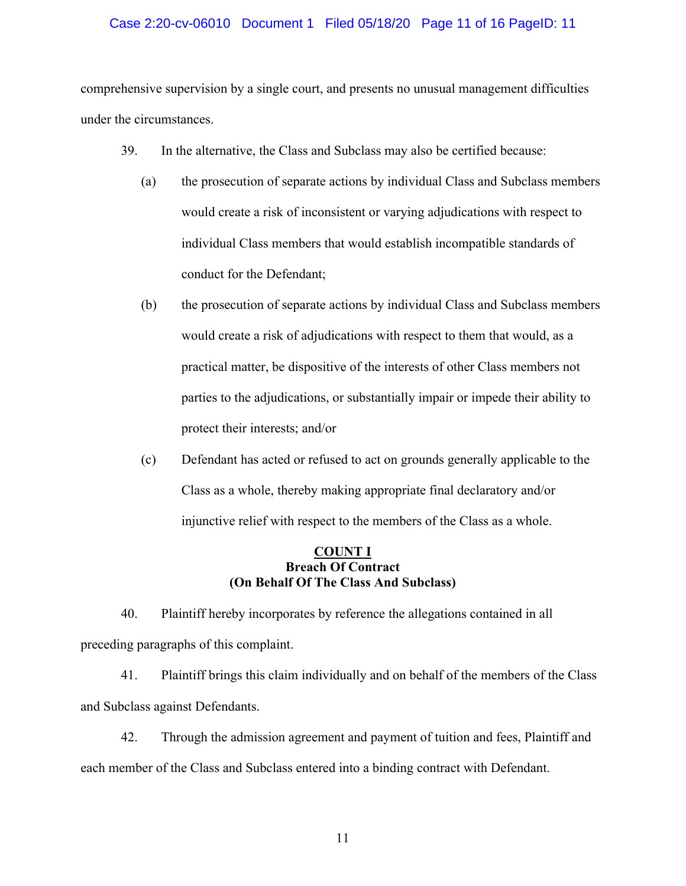#### Case 2:20-cv-06010 Document 1 Filed 05/18/20 Page 11 of 16 PageID: 11

comprehensive supervision by a single court, and presents no unusual management difficulties under the circumstances.

- 39. In the alternative, the Class and Subclass may also be certified because:
	- (a) the prosecution of separate actions by individual Class and Subclass members would create a risk of inconsistent or varying adjudications with respect to individual Class members that would establish incompatible standards of conduct for the Defendant;
	- (b) the prosecution of separate actions by individual Class and Subclass members would create a risk of adjudications with respect to them that would, as a practical matter, be dispositive of the interests of other Class members not parties to the adjudications, or substantially impair or impede their ability to protect their interests; and/or
	- (c) Defendant has acted or refused to act on grounds generally applicable to the Class as a whole, thereby making appropriate final declaratory and/or injunctive relief with respect to the members of the Class as a whole.

#### **COUNT I Breach Of Contract (On Behalf Of The Class And Subclass)**

40. Plaintiff hereby incorporates by reference the allegations contained in all preceding paragraphs of this complaint.

41. Plaintiff brings this claim individually and on behalf of the members of the Class and Subclass against Defendants.

42. Through the admission agreement and payment of tuition and fees, Plaintiff and each member of the Class and Subclass entered into a binding contract with Defendant.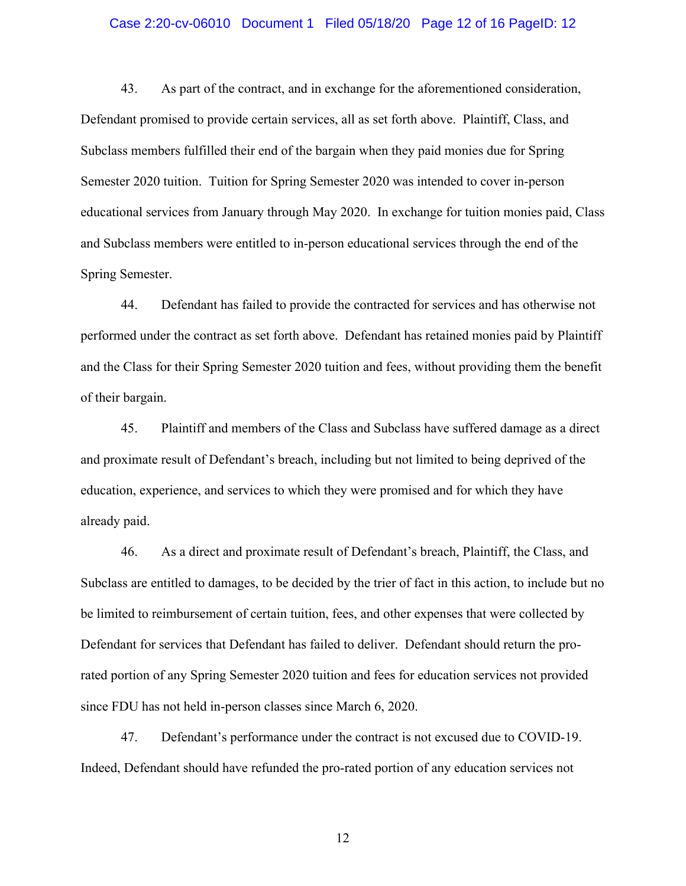#### Case 2:20-cv-06010 Document 1 Filed 05/18/20 Page 12 of 16 PageID: 12

43. As part of the contract, and in exchange for the aforementioned consideration, Defendant promised to provide certain services, all as set forth above. Plaintiff, Class, and Subclass members fulfilled their end of the bargain when they paid monies due for Spring Semester 2020 tuition. Tuition for Spring Semester 2020 was intended to cover in-person educational services from January through May 2020. In exchange for tuition monies paid, Class and Subclass members were entitled to in-person educational services through the end of the Spring Semester.

44. Defendant has failed to provide the contracted for services and has otherwise not performed under the contract as set forth above. Defendant has retained monies paid by Plaintiff and the Class for their Spring Semester 2020 tuition and fees, without providing them the benefit of their bargain.

45. Plaintiff and members of the Class and Subclass have suffered damage as a direct and proximate result of Defendant's breach, including but not limited to being deprived of the education, experience, and services to which they were promised and for which they have already paid.

46. As a direct and proximate result of Defendant's breach, Plaintiff, the Class, and Subclass are entitled to damages, to be decided by the trier of fact in this action, to include but no be limited to reimbursement of certain tuition, fees, and other expenses that were collected by Defendant for services that Defendant has failed to deliver. Defendant should return the prorated portion of any Spring Semester 2020 tuition and fees for education services not provided since FDU has not held in-person classes since March 6, 2020.

47. Defendant's performance under the contract is not excused due to COVID-19. Indeed, Defendant should have refunded the pro-rated portion of any education services not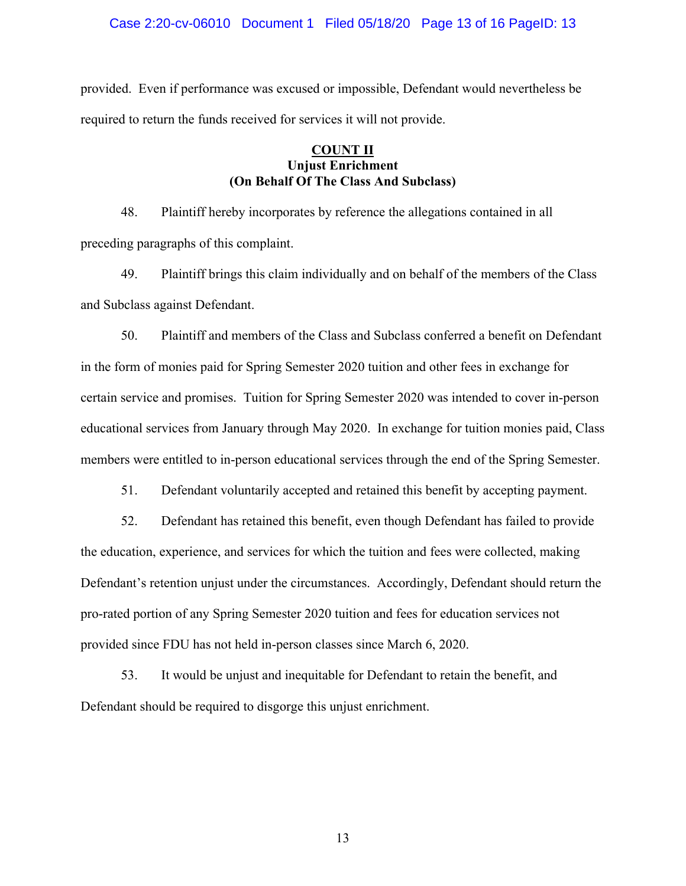#### Case 2:20-cv-06010 Document 1 Filed 05/18/20 Page 13 of 16 PageID: 13

provided. Even if performance was excused or impossible, Defendant would nevertheless be required to return the funds received for services it will not provide.

#### **COUNT II Unjust Enrichment (On Behalf Of The Class And Subclass)**

48. Plaintiff hereby incorporates by reference the allegations contained in all preceding paragraphs of this complaint.

49. Plaintiff brings this claim individually and on behalf of the members of the Class and Subclass against Defendant.

50. Plaintiff and members of the Class and Subclass conferred a benefit on Defendant in the form of monies paid for Spring Semester 2020 tuition and other fees in exchange for certain service and promises. Tuition for Spring Semester 2020 was intended to cover in-person educational services from January through May 2020. In exchange for tuition monies paid, Class members were entitled to in-person educational services through the end of the Spring Semester.

51. Defendant voluntarily accepted and retained this benefit by accepting payment.

52. Defendant has retained this benefit, even though Defendant has failed to provide the education, experience, and services for which the tuition and fees were collected, making Defendant's retention unjust under the circumstances. Accordingly, Defendant should return the pro-rated portion of any Spring Semester 2020 tuition and fees for education services not provided since FDU has not held in-person classes since March 6, 2020.

53. It would be unjust and inequitable for Defendant to retain the benefit, and Defendant should be required to disgorge this unjust enrichment.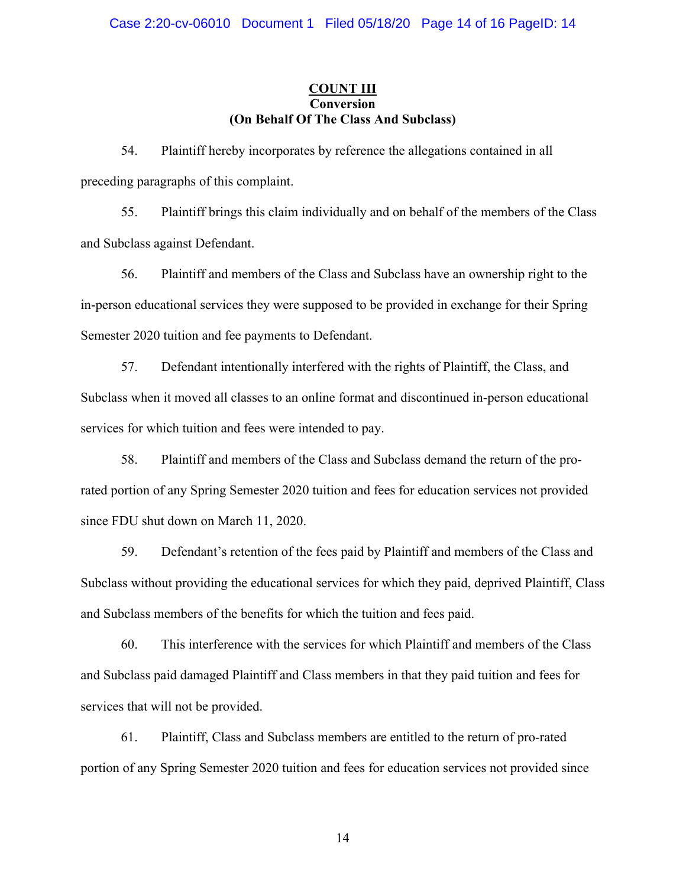#### **COUNT III Conversion (On Behalf Of The Class And Subclass)**

54. Plaintiff hereby incorporates by reference the allegations contained in all preceding paragraphs of this complaint.

55. Plaintiff brings this claim individually and on behalf of the members of the Class and Subclass against Defendant.

56. Plaintiff and members of the Class and Subclass have an ownership right to the in-person educational services they were supposed to be provided in exchange for their Spring Semester 2020 tuition and fee payments to Defendant.

57. Defendant intentionally interfered with the rights of Plaintiff, the Class, and Subclass when it moved all classes to an online format and discontinued in-person educational services for which tuition and fees were intended to pay.

58. Plaintiff and members of the Class and Subclass demand the return of the prorated portion of any Spring Semester 2020 tuition and fees for education services not provided since FDU shut down on March 11, 2020.

59. Defendant's retention of the fees paid by Plaintiff and members of the Class and Subclass without providing the educational services for which they paid, deprived Plaintiff, Class and Subclass members of the benefits for which the tuition and fees paid.

60. This interference with the services for which Plaintiff and members of the Class and Subclass paid damaged Plaintiff and Class members in that they paid tuition and fees for services that will not be provided.

61. Plaintiff, Class and Subclass members are entitled to the return of pro-rated portion of any Spring Semester 2020 tuition and fees for education services not provided since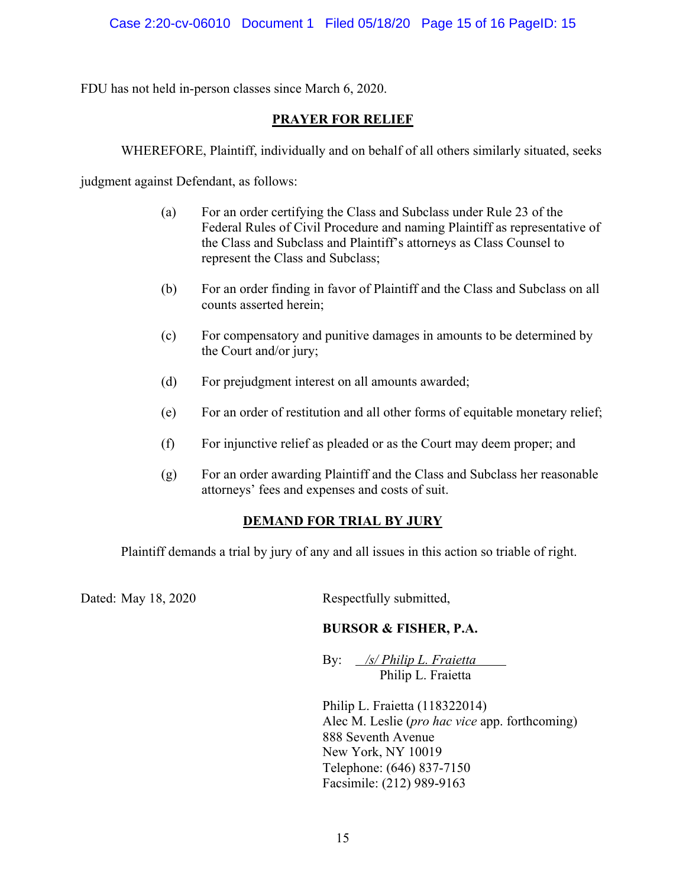FDU has not held in-person classes since March 6, 2020.

### **PRAYER FOR RELIEF**

WHEREFORE, Plaintiff, individually and on behalf of all others similarly situated, seeks

judgment against Defendant, as follows:

- (a) For an order certifying the Class and Subclass under Rule 23 of the Federal Rules of Civil Procedure and naming Plaintiff as representative of the Class and Subclass and Plaintiff's attorneys as Class Counsel to represent the Class and Subclass;
- (b) For an order finding in favor of Plaintiff and the Class and Subclass on all counts asserted herein;
- (c) For compensatory and punitive damages in amounts to be determined by the Court and/or jury;
- (d) For prejudgment interest on all amounts awarded;
- (e) For an order of restitution and all other forms of equitable monetary relief;
- (f) For injunctive relief as pleaded or as the Court may deem proper; and
- (g) For an order awarding Plaintiff and the Class and Subclass her reasonable attorneys' fees and expenses and costs of suit.

## **DEMAND FOR TRIAL BY JURY**

Plaintiff demands a trial by jury of any and all issues in this action so triable of right.

Dated: May 18, 2020 Respectfully submitted,

## **BURSOR & FISHER, P.A.**

By: */s/ Philip L. Fraietta* Philip L. Fraietta

Philip L. Fraietta (118322014) Alec M. Leslie (*pro hac vice* app. forthcoming) 888 Seventh Avenue New York, NY 10019 Telephone: (646) 837-7150 Facsimile: (212) 989-9163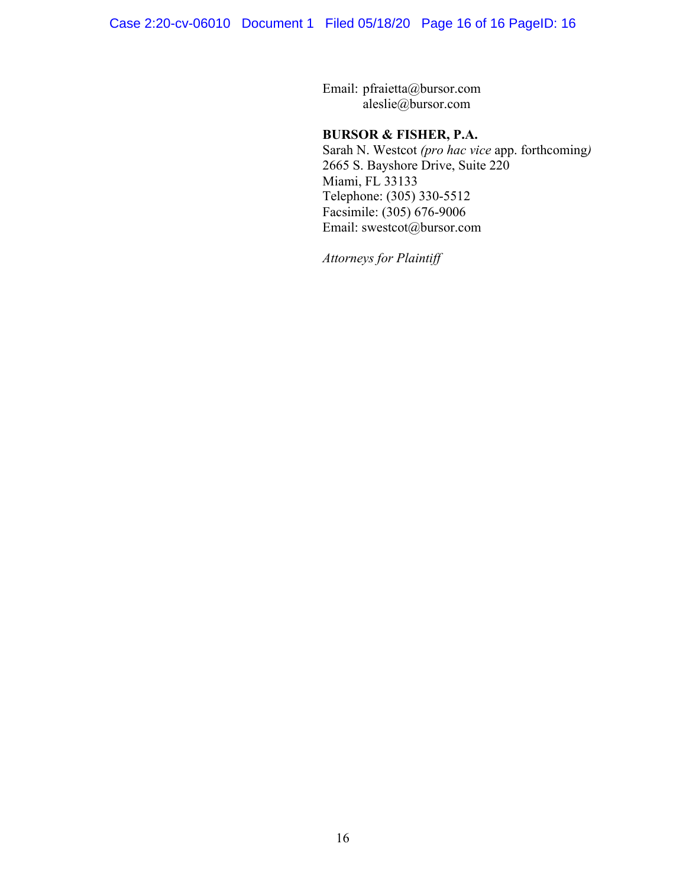Email: pfraietta@bursor.com aleslie@bursor.com

#### **BURSOR & FISHER, P.A.**

Sarah N. Westcot *(pro hac vice* app. forthcoming*)* 2665 S. Bayshore Drive, Suite 220 Miami, FL 33133 Telephone: (305) 330-5512 Facsimile: (305) 676-9006 Email: swestcot@bursor.com

*Attorneys for Plaintiff*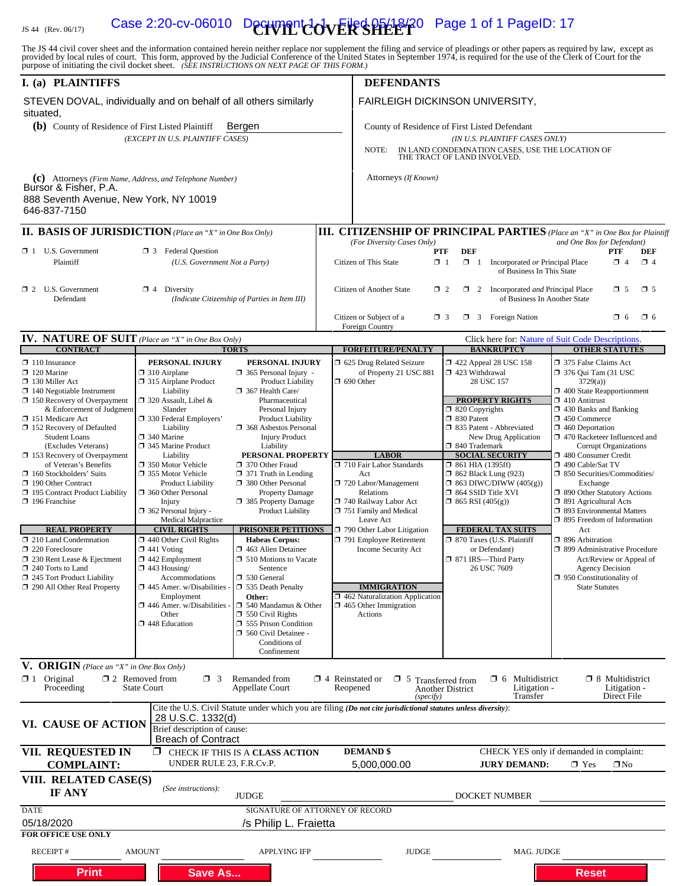## IS 44 (Rev. 06/17) Case 2:20-cv-06010 Decryment  $\text{CovER}$  SPE 2720 Page 1 of 1 PageID: 17

The JS 44 civil cover sheet and the information contained herein neither replace nor supplement the filing and service of pleadings or other papers as required by law, except as provided by local rules of court. This form,

| I. (a) PLAINTIFFS                                                                                                                                                                                                                                                                                                                                                                                                                                                                                                                                                                                                                                             |                                                                                                                                                                                                                                                                                                                                                                                                                                                                                                                                                                                                                                              |                                                                                                                                                                                                                                                                                                                                                                                                                                                                                                                                                                                                                                |                                                                                                                                                     | <b>DEFENDANTS</b>                                                                                                                                                                                                                                                                                                                                                                                                          |                                                                                                                                                                                                                                                                                                                                                                                                                                                                                                     |                                                                                                                                                                                                                                                                                                                                                                                                                                                                                                                                                                                                                                                                                             |
|---------------------------------------------------------------------------------------------------------------------------------------------------------------------------------------------------------------------------------------------------------------------------------------------------------------------------------------------------------------------------------------------------------------------------------------------------------------------------------------------------------------------------------------------------------------------------------------------------------------------------------------------------------------|----------------------------------------------------------------------------------------------------------------------------------------------------------------------------------------------------------------------------------------------------------------------------------------------------------------------------------------------------------------------------------------------------------------------------------------------------------------------------------------------------------------------------------------------------------------------------------------------------------------------------------------------|--------------------------------------------------------------------------------------------------------------------------------------------------------------------------------------------------------------------------------------------------------------------------------------------------------------------------------------------------------------------------------------------------------------------------------------------------------------------------------------------------------------------------------------------------------------------------------------------------------------------------------|-----------------------------------------------------------------------------------------------------------------------------------------------------|----------------------------------------------------------------------------------------------------------------------------------------------------------------------------------------------------------------------------------------------------------------------------------------------------------------------------------------------------------------------------------------------------------------------------|-----------------------------------------------------------------------------------------------------------------------------------------------------------------------------------------------------------------------------------------------------------------------------------------------------------------------------------------------------------------------------------------------------------------------------------------------------------------------------------------------------|---------------------------------------------------------------------------------------------------------------------------------------------------------------------------------------------------------------------------------------------------------------------------------------------------------------------------------------------------------------------------------------------------------------------------------------------------------------------------------------------------------------------------------------------------------------------------------------------------------------------------------------------------------------------------------------------|
| STEVEN DOVAL, individually and on behalf of all others similarly<br>situated,                                                                                                                                                                                                                                                                                                                                                                                                                                                                                                                                                                                 |                                                                                                                                                                                                                                                                                                                                                                                                                                                                                                                                                                                                                                              |                                                                                                                                                                                                                                                                                                                                                                                                                                                                                                                                                                                                                                |                                                                                                                                                     |                                                                                                                                                                                                                                                                                                                                                                                                                            | FAIRLEIGH DICKINSON UNIVERSITY,                                                                                                                                                                                                                                                                                                                                                                                                                                                                     |                                                                                                                                                                                                                                                                                                                                                                                                                                                                                                                                                                                                                                                                                             |
| (b) County of Residence of First Listed Plaintiff                                                                                                                                                                                                                                                                                                                                                                                                                                                                                                                                                                                                             |                                                                                                                                                                                                                                                                                                                                                                                                                                                                                                                                                                                                                                              | Bergen                                                                                                                                                                                                                                                                                                                                                                                                                                                                                                                                                                                                                         |                                                                                                                                                     |                                                                                                                                                                                                                                                                                                                                                                                                                            | County of Residence of First Listed Defendant                                                                                                                                                                                                                                                                                                                                                                                                                                                       |                                                                                                                                                                                                                                                                                                                                                                                                                                                                                                                                                                                                                                                                                             |
| (EXCEPT IN U.S. PLAINTIFF CASES)                                                                                                                                                                                                                                                                                                                                                                                                                                                                                                                                                                                                                              |                                                                                                                                                                                                                                                                                                                                                                                                                                                                                                                                                                                                                                              |                                                                                                                                                                                                                                                                                                                                                                                                                                                                                                                                                                                                                                |                                                                                                                                                     | (IN U.S. PLAINTIFF CASES ONLY)<br>IN LAND CONDEMNATION CASES, USE THE LOCATION OF THE TRACT OF LAND INVOLVED.<br>NOTE:                                                                                                                                                                                                                                                                                                     |                                                                                                                                                                                                                                                                                                                                                                                                                                                                                                     |                                                                                                                                                                                                                                                                                                                                                                                                                                                                                                                                                                                                                                                                                             |
| (c) Attorneys (Firm Name, Address, and Telephone Number)<br>Bursor & Fisher, P.A.                                                                                                                                                                                                                                                                                                                                                                                                                                                                                                                                                                             |                                                                                                                                                                                                                                                                                                                                                                                                                                                                                                                                                                                                                                              |                                                                                                                                                                                                                                                                                                                                                                                                                                                                                                                                                                                                                                |                                                                                                                                                     | Attorneys (If Known)                                                                                                                                                                                                                                                                                                                                                                                                       |                                                                                                                                                                                                                                                                                                                                                                                                                                                                                                     |                                                                                                                                                                                                                                                                                                                                                                                                                                                                                                                                                                                                                                                                                             |
| 888 Seventh Avenue, New York, NY 10019<br>646-837-7150                                                                                                                                                                                                                                                                                                                                                                                                                                                                                                                                                                                                        |                                                                                                                                                                                                                                                                                                                                                                                                                                                                                                                                                                                                                                              |                                                                                                                                                                                                                                                                                                                                                                                                                                                                                                                                                                                                                                |                                                                                                                                                     |                                                                                                                                                                                                                                                                                                                                                                                                                            |                                                                                                                                                                                                                                                                                                                                                                                                                                                                                                     |                                                                                                                                                                                                                                                                                                                                                                                                                                                                                                                                                                                                                                                                                             |
| <b>II. BASIS OF JURISDICTION</b> (Place an "X" in One Box Only)                                                                                                                                                                                                                                                                                                                                                                                                                                                                                                                                                                                               |                                                                                                                                                                                                                                                                                                                                                                                                                                                                                                                                                                                                                                              |                                                                                                                                                                                                                                                                                                                                                                                                                                                                                                                                                                                                                                |                                                                                                                                                     |                                                                                                                                                                                                                                                                                                                                                                                                                            |                                                                                                                                                                                                                                                                                                                                                                                                                                                                                                     | <b>III. CITIZENSHIP OF PRINCIPAL PARTIES</b> (Place an "X" in One Box for Plaintiff                                                                                                                                                                                                                                                                                                                                                                                                                                                                                                                                                                                                         |
| $\Box$ 1 U.S. Government<br>Plaintiff                                                                                                                                                                                                                                                                                                                                                                                                                                                                                                                                                                                                                         | 区 3 Federal Question<br>(U.S. Government Not a Party)                                                                                                                                                                                                                                                                                                                                                                                                                                                                                                                                                                                        |                                                                                                                                                                                                                                                                                                                                                                                                                                                                                                                                                                                                                                |                                                                                                                                                     | (For Diversity Cases Only)<br>PTF<br>Citizen of This State<br>$\Box$ 1                                                                                                                                                                                                                                                                                                                                                     | <b>DEF</b><br>$\Box$ 1                                                                                                                                                                                                                                                                                                                                                                                                                                                                              | and One Box for Defendant)<br><b>PTF</b><br><b>DEF</b><br>$\Box$ 4<br>Incorporated or Principal Place<br>$\Box$ 4<br>of Business In This State                                                                                                                                                                                                                                                                                                                                                                                                                                                                                                                                              |
| $\Box$ 2 U.S. Government<br>Defendant                                                                                                                                                                                                                                                                                                                                                                                                                                                                                                                                                                                                                         | $\Box$ 4 Diversity                                                                                                                                                                                                                                                                                                                                                                                                                                                                                                                                                                                                                           | (Indicate Citizenship of Parties in Item III)                                                                                                                                                                                                                                                                                                                                                                                                                                                                                                                                                                                  | $\square$ 5<br>Citizen of Another State<br>$\Box$ 2 Incorporated <i>and</i> Principal Place<br>$\Box$ 5<br>$\Box$ 2<br>of Business In Another State |                                                                                                                                                                                                                                                                                                                                                                                                                            |                                                                                                                                                                                                                                                                                                                                                                                                                                                                                                     |                                                                                                                                                                                                                                                                                                                                                                                                                                                                                                                                                                                                                                                                                             |
|                                                                                                                                                                                                                                                                                                                                                                                                                                                                                                                                                                                                                                                               |                                                                                                                                                                                                                                                                                                                                                                                                                                                                                                                                                                                                                                              |                                                                                                                                                                                                                                                                                                                                                                                                                                                                                                                                                                                                                                |                                                                                                                                                     | Citizen or Subject of a<br>$\Box$ 3<br>Foreign Country                                                                                                                                                                                                                                                                                                                                                                     | $\Box$ 3 Foreign Nation                                                                                                                                                                                                                                                                                                                                                                                                                                                                             | $\square$ 6<br>$\Box$ 6                                                                                                                                                                                                                                                                                                                                                                                                                                                                                                                                                                                                                                                                     |
| <b>IV. NATURE OF SUIT</b> (Place an "X" in One Box Only)<br><b>CONTRACT</b>                                                                                                                                                                                                                                                                                                                                                                                                                                                                                                                                                                                   |                                                                                                                                                                                                                                                                                                                                                                                                                                                                                                                                                                                                                                              | <b>TORTS</b>                                                                                                                                                                                                                                                                                                                                                                                                                                                                                                                                                                                                                   |                                                                                                                                                     | <b>FORFEITURE/PENALTY</b>                                                                                                                                                                                                                                                                                                                                                                                                  | <b>BANKRUPTCY</b>                                                                                                                                                                                                                                                                                                                                                                                                                                                                                   | Click here for: Nature of Suit Code Descriptions.<br><b>OTHER STATUTES</b>                                                                                                                                                                                                                                                                                                                                                                                                                                                                                                                                                                                                                  |
| $\Box$ 110 Insurance<br>$\Box$ 120 Marine<br>$\Box$ 130 Miller Act<br>$\Box$ 140 Negotiable Instrument<br>$\Box$ 150 Recovery of Overpayment<br>& Enforcement of Judgment<br>□ 151 Medicare Act<br>152 Recovery of Defaulted<br><b>Student Loans</b><br>(Excludes Veterans)<br>□ 153 Recovery of Overpayment<br>of Veteran's Benefits<br>$\Box$ 160 Stockholders' Suits<br>又 190 Other Contract<br>□ 195 Contract Product Liability<br>$\Box$ 196 Franchise<br><b>REAL PROPERTY</b><br>210 Land Condemnation<br>$\Box$ 220 Foreclosure<br>$\Box$ 230 Rent Lease & Ejectment<br>240 Torts to Land<br>245 Tort Product Liability<br>290 All Other Real Property | PERSONAL INJURY<br>$\Box$ 310 Airplane<br>$\Box$ 315 Airplane Product<br>Liability<br>$\Box$ 320 Assault, Libel &<br>Slander<br>□ 330 Federal Employers'<br>Liability<br>$\Box$ 340 Marine<br>□ 345 Marine Product<br>Liability<br>□ 350 Motor Vehicle<br>□ 355 Motor Vehicle<br><b>Product Liability</b><br>360 Other Personal<br>Injury<br>$\Box$ 362 Personal Injury -<br>Medical Malpractice<br><b>CIVIL RIGHTS</b><br>$\Box$ 440 Other Civil Rights<br>$\Box$ 441 Voting<br>$\Box$ 442 Employment<br>$\Box$ 443 Housing/<br>Accommodations<br>$\Box$ 445 Amer. w/Disabilities<br>Employment<br>$\Box$ 446 Amer. w/Disabilities<br>Other | PERSONAL INJURY<br>$\Box$ 365 Personal Injury -<br><b>Product Liability</b><br>367 Health Care/<br>Pharmaceutical<br>Personal Injury<br><b>Product Liability</b><br>□ 368 Asbestos Personal<br><b>Injury Product</b><br>Liability<br>PERSONAL PROPERTY<br>□ 370 Other Fraud<br>$\Box$ 371 Truth in Lending<br>380 Other Personal<br><b>Property Damage</b><br>□ 385 Property Damage<br>Product Liability<br>PRISONER PETITIONS<br><b>Habeas Corpus:</b><br>463 Alien Detainee<br>□ 510 Motions to Vacate<br>Sentence<br>□ 530 General<br>535 Death Penalty<br>Other:<br>$\Box$ 540 Mandamus & Other<br>$\Box$ 550 Civil Rights |                                                                                                                                                     | 5 625 Drug Related Seizure<br>of Property 21 USC 881<br>$\Box$ 690 Other<br><b>LABOR</b><br>710 Fair Labor Standards<br>Act<br>720 Labor/Management<br>Relations<br>740 Railway Labor Act<br>751 Family and Medical<br>Leave Act<br>790 Other Labor Litigation<br>791 Employee Retirement<br><b>Income Security Act</b><br><b>IMMIGRATION</b><br>462 Naturalization Application<br>$\Box$ 465 Other Immigration<br>Actions | 158 122 Appeal 28 USC 158<br>$\Box$ 423 Withdrawal<br>28 USC 157<br><b>PROPERTY RIGHTS</b><br>□ 820 Copyrights<br>□ 830 Patent<br>335 Patent - Abbreviated<br>New Drug Application<br>□ 840 Trademark<br><b>SOCIAL SECURITY</b><br>$\Box$ 861 HIA (1395ff)<br><b>1 862 Black Lung (923)</b><br>$\Box$ 863 DIWC/DIWW (405(g))<br>□ 864 SSID Title XVI<br>$\Box$ 865 RSI (405(g))<br><b>FEDERAL TAX SUITS</b><br>□ 870 Taxes (U.S. Plaintiff<br>or Defendant)<br>□ 871 IRS—Third Party<br>26 USC 7609 | 375 False Claims Act<br>$\Box$ 376 Qui Tam (31 USC)<br>3729(a)<br>$\Box$ 400 State Reapportionment<br>$\Box$ 410 Antitrust<br>1 430 Banks and Banking<br>$\Box$ 450 Commerce<br>$\Box$ 460 Deportation<br>1 470 Racketeer Influenced and<br><b>Corrupt Organizations</b><br>480 Consumer Credit<br>□ 490 Cable/Sat TV<br>□ 850 Securities/Commodities/<br>Exchange<br>1 890 Other Statutory Actions<br>$\Box$ 891 Agricultural Acts<br>□ 893 Environmental Matters<br>$\Box$ 895 Freedom of Information<br>Act<br>$\Box$ 896 Arbitration<br>□ 899 Administrative Procedure<br>Act/Review or Appeal of<br><b>Agency Decision</b><br>$\Box$ 950 Constitutionality of<br><b>State Statutes</b> |
|                                                                                                                                                                                                                                                                                                                                                                                                                                                                                                                                                                                                                                                               | $\square$ 448 Education                                                                                                                                                                                                                                                                                                                                                                                                                                                                                                                                                                                                                      | <b>355 Prison Condition</b><br>560 Civil Detainee -<br>Conditions of<br>Confinement                                                                                                                                                                                                                                                                                                                                                                                                                                                                                                                                            |                                                                                                                                                     |                                                                                                                                                                                                                                                                                                                                                                                                                            |                                                                                                                                                                                                                                                                                                                                                                                                                                                                                                     |                                                                                                                                                                                                                                                                                                                                                                                                                                                                                                                                                                                                                                                                                             |
| V. ORIGIN (Place an "X" in One Box Only)<br>$\boxtimes$ 1 Original<br>Proceeding                                                                                                                                                                                                                                                                                                                                                                                                                                                                                                                                                                              | $\square$ 2 Removed from<br>$\Box$ 3<br><b>State Court</b>                                                                                                                                                                                                                                                                                                                                                                                                                                                                                                                                                                                   | Remanded from<br><b>Appellate Court</b>                                                                                                                                                                                                                                                                                                                                                                                                                                                                                                                                                                                        | $\Box$ 4 Reinstated or                                                                                                                              | $\Box$ 5 Transferred from<br>Reopened<br>(specify)                                                                                                                                                                                                                                                                                                                                                                         | $\Box$ 6 Multidistrict<br>Litigation -<br><b>Another District</b><br>Transfer                                                                                                                                                                                                                                                                                                                                                                                                                       | $\Box$ 8 Multidistrict<br>Litigation -<br>Direct File                                                                                                                                                                                                                                                                                                                                                                                                                                                                                                                                                                                                                                       |
| VI. CAUSE OF ACTION                                                                                                                                                                                                                                                                                                                                                                                                                                                                                                                                                                                                                                           | 28 U.S.C. 1332(d)<br>Brief description of cause:                                                                                                                                                                                                                                                                                                                                                                                                                                                                                                                                                                                             |                                                                                                                                                                                                                                                                                                                                                                                                                                                                                                                                                                                                                                |                                                                                                                                                     | Cite the U.S. Civil Statute under which you are filing (Do not cite jurisdictional statutes unless diversity):                                                                                                                                                                                                                                                                                                             |                                                                                                                                                                                                                                                                                                                                                                                                                                                                                                     |                                                                                                                                                                                                                                                                                                                                                                                                                                                                                                                                                                                                                                                                                             |
| VII. REQUESTED IN<br><b>COMPLAINT:</b>                                                                                                                                                                                                                                                                                                                                                                                                                                                                                                                                                                                                                        | <b>Breach of Contract</b><br>UNDER RULE 23, F.R.Cv.P.                                                                                                                                                                                                                                                                                                                                                                                                                                                                                                                                                                                        | <b>X</b> CHECK IF THIS IS A CLASS ACTION                                                                                                                                                                                                                                                                                                                                                                                                                                                                                                                                                                                       |                                                                                                                                                     | <b>DEMAND</b> \$<br>5,000,000.00                                                                                                                                                                                                                                                                                                                                                                                           | <b>JURY DEMAND:</b>                                                                                                                                                                                                                                                                                                                                                                                                                                                                                 | CHECK YES only if demanded in complaint:<br>$\boxtimes$ Yes<br>$\square$ No                                                                                                                                                                                                                                                                                                                                                                                                                                                                                                                                                                                                                 |
| VIII. RELATED CASE(S)<br><b>IF ANY</b>                                                                                                                                                                                                                                                                                                                                                                                                                                                                                                                                                                                                                        | (See instructions):                                                                                                                                                                                                                                                                                                                                                                                                                                                                                                                                                                                                                          | <b>JUDGE</b>                                                                                                                                                                                                                                                                                                                                                                                                                                                                                                                                                                                                                   |                                                                                                                                                     |                                                                                                                                                                                                                                                                                                                                                                                                                            | DOCKET NUMBER                                                                                                                                                                                                                                                                                                                                                                                                                                                                                       |                                                                                                                                                                                                                                                                                                                                                                                                                                                                                                                                                                                                                                                                                             |
| <b>DATE</b><br>05/18/2020<br><b>FOR OFFICE USE ONLY</b>                                                                                                                                                                                                                                                                                                                                                                                                                                                                                                                                                                                                       |                                                                                                                                                                                                                                                                                                                                                                                                                                                                                                                                                                                                                                              | SIGNATURE OF ATTORNEY OF RECORD<br>/s Philip L. Fraietta                                                                                                                                                                                                                                                                                                                                                                                                                                                                                                                                                                       |                                                                                                                                                     |                                                                                                                                                                                                                                                                                                                                                                                                                            |                                                                                                                                                                                                                                                                                                                                                                                                                                                                                                     |                                                                                                                                                                                                                                                                                                                                                                                                                                                                                                                                                                                                                                                                                             |
| <b>RECEIPT#</b>                                                                                                                                                                                                                                                                                                                                                                                                                                                                                                                                                                                                                                               | <b>AMOUNT</b>                                                                                                                                                                                                                                                                                                                                                                                                                                                                                                                                                                                                                                | <b>APPLYING IFP</b>                                                                                                                                                                                                                                                                                                                                                                                                                                                                                                                                                                                                            |                                                                                                                                                     | <b>JUDGE</b>                                                                                                                                                                                                                                                                                                                                                                                                               |                                                                                                                                                                                                                                                                                                                                                                                                                                                                                                     | MAG. JUDGE                                                                                                                                                                                                                                                                                                                                                                                                                                                                                                                                                                                                                                                                                  |
| <b>Print</b>                                                                                                                                                                                                                                                                                                                                                                                                                                                                                                                                                                                                                                                  | <b>Save As</b>                                                                                                                                                                                                                                                                                                                                                                                                                                                                                                                                                                                                                               |                                                                                                                                                                                                                                                                                                                                                                                                                                                                                                                                                                                                                                |                                                                                                                                                     |                                                                                                                                                                                                                                                                                                                                                                                                                            |                                                                                                                                                                                                                                                                                                                                                                                                                                                                                                     | <b>Reset</b>                                                                                                                                                                                                                                                                                                                                                                                                                                                                                                                                                                                                                                                                                |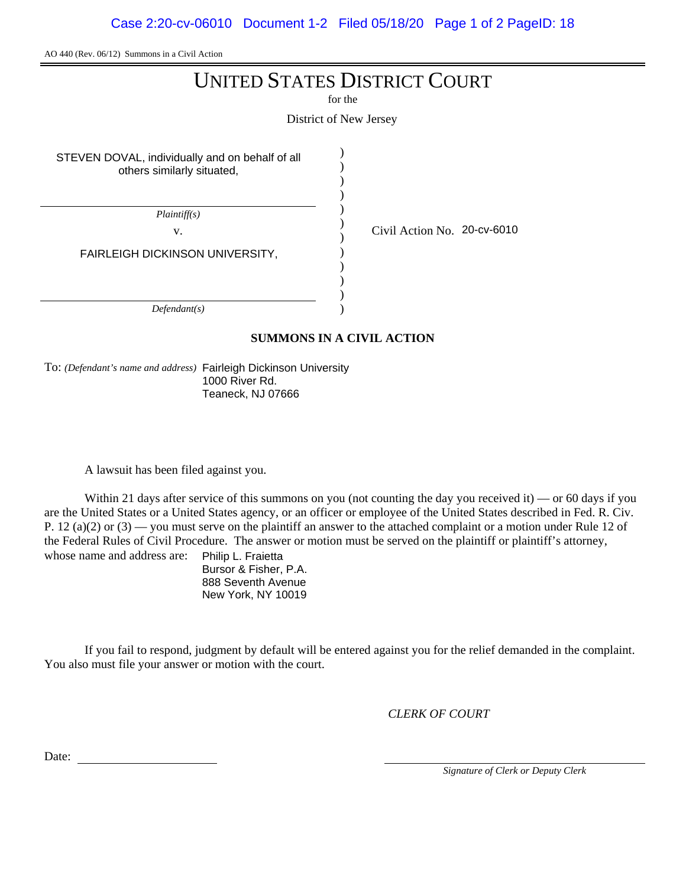Case 2:20-cv-06010 Document 1-2 Filed 05/18/20 Page 1 of 2 PageID: 18

AO 440 (Rev. 06/12) Summons in a Civil Action

## UNITED STATES DISTRICT COURT

for the

District of New Jersey

) )

STEVEN DOVAL, individually and on behalf of all others similarly situated,

) ) ) ) ) ) ) ) ) ) *Plaintiff(s)* v.  $\qquad \qquad \begin{array}{cc} \vee & \text{Civil Action No.} \end{array}$  20-cv-6010 FAIRLEIGH DICKINSON UNIVERSITY,

*Defendant(s)*

#### **SUMMONS IN A CIVIL ACTION**

To: *(Defendant's name and address)* Fairleigh Dickinson University 1000 River Rd. Teaneck, NJ 07666

A lawsuit has been filed against you.

Within 21 days after service of this summons on you (not counting the day you received it) — or 60 days if you are the United States or a United States agency, or an officer or employee of the United States described in Fed. R. Civ. P. 12 (a)(2) or  $(3)$  — you must serve on the plaintiff an answer to the attached complaint or a motion under Rule 12 of the Federal Rules of Civil Procedure. The answer or motion must be served on the plaintiff or plaintiff's attorney, whose name and address are: Philip L. Fraietta

Bursor & Fisher, P.A. 888 Seventh Avenue New York, NY 10019

If you fail to respond, judgment by default will be entered against you for the relief demanded in the complaint. You also must file your answer or motion with the court.

*CLERK OF COURT*

Date:

*Signature of Clerk or Deputy Clerk*